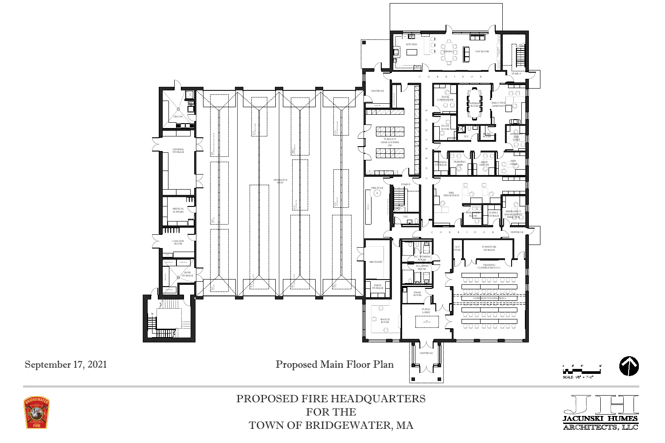





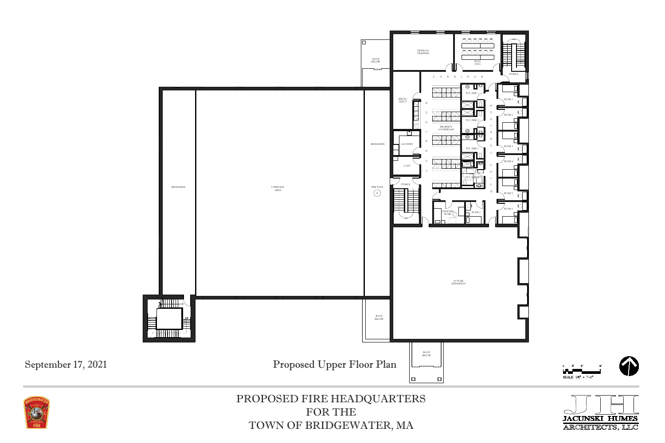